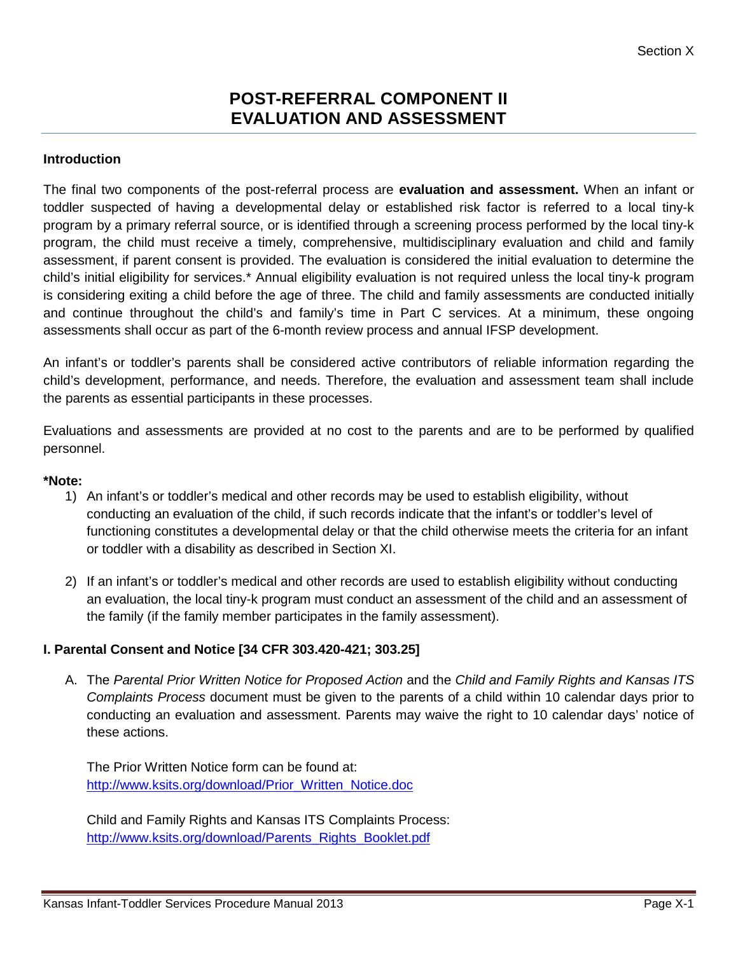# **POST-REFERRAL COMPONENT II EVALUATION AND ASSESSMENT**

## **Introduction**

The final two components of the post-referral process are **evaluation and assessment.** When an infant or toddler suspected of having a developmental delay or established risk factor is referred to a local tiny-k program by a primary referral source, or is identified through a screening process performed by the local tiny-k program, the child must receive a timely, comprehensive, multidisciplinary evaluation and child and family assessment, if parent consent is provided. The evaluation is considered the initial evaluation to determine the child's initial eligibility for services.\* Annual eligibility evaluation is not required unless the local tiny-k program is considering exiting a child before the age of three. The child and family assessments are conducted initially and continue throughout the child's and family's time in Part C services. At a minimum, these ongoing assessments shall occur as part of the 6-month review process and annual IFSP development.

An infant's or toddler's parents shall be considered active contributors of reliable information regarding the child's development, performance, and needs. Therefore, the evaluation and assessment team shall include the parents as essential participants in these processes.

Evaluations and assessments are provided at no cost to the parents and are to be performed by qualified personnel.

#### **\*Note:**

- 1) An infant's or toddler's medical and other records may be used to establish eligibility, without conducting an evaluation of the child, if such records indicate that the infant's or toddler's level of functioning constitutes a developmental delay or that the child otherwise meets the criteria for an infant or toddler with a disability as described in Section XI.
- 2) If an infant's or toddler's medical and other records are used to establish eligibility without conducting an evaluation, the local tiny-k program must conduct an assessment of the child and an assessment of the family (if the family member participates in the family assessment).

### **I. Parental Consent and Notice [34 CFR 303.420-421; 303.25]**

A. The *Parental Prior Written Notice for Proposed Action* and the *Child and Family Rights and Kansas ITS Complaints Process* document must be given to the parents of a child within 10 calendar days prior to conducting an evaluation and assessment. Parents may waive the right to 10 calendar days' notice of these actions.

The Prior Written Notice form can be found at: [http://www.ksits.org/download/Prior\\_Written\\_Notice.doc](http://www.ksits.org/download/Prior_Written_Notice.doc)

Child and Family Rights and Kansas ITS Complaints Process: [http://www.ksits.org/download/Parents\\_Rights\\_Booklet.pdf](http://www.ksits.org/download/Parents_Rights_Booklet.pdf)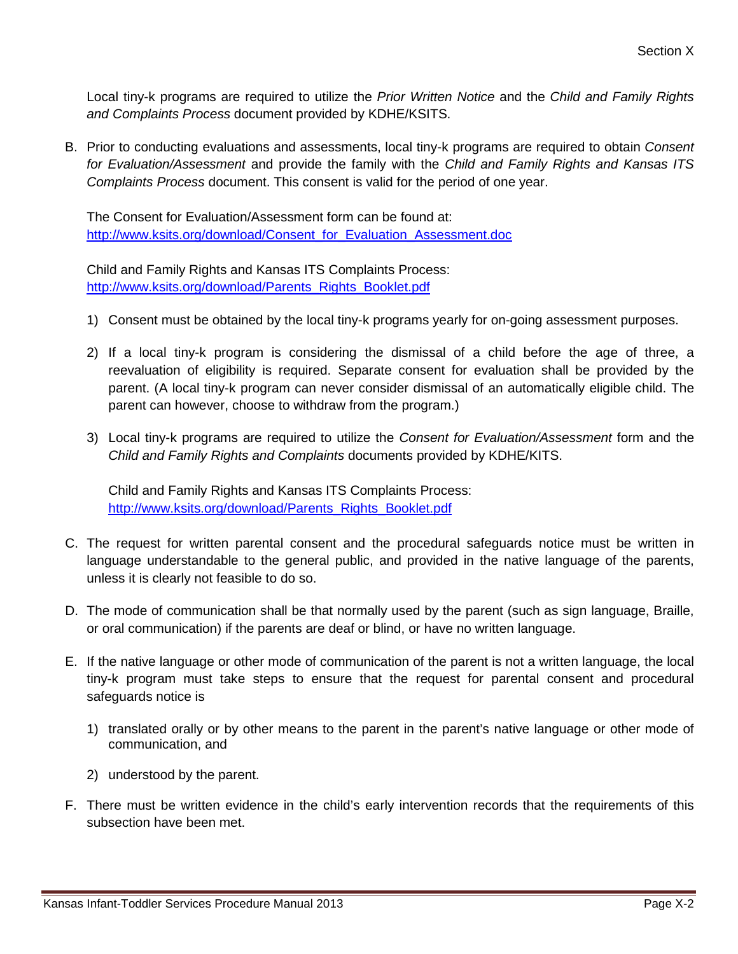Local tiny-k programs are required to utilize the *Prior Written Notice* and the *Child and Family Rights and Complaints Process* document provided by KDHE/KSITS.

B. Prior to conducting evaluations and assessments, local tiny-k programs are required to obtain *Consent for Evaluation/Assessment* and provide the family with the *Child and Family Rights and Kansas ITS Complaints Process* document. This consent is valid for the period of one year.

The Consent for Evaluation/Assessment form can be found at: [http://www.ksits.org/download/Consent\\_for\\_Evaluation\\_Assessment.doc](http://www.ksits.org/download/Consent_for_Evaluation_Assessment.doc)

Child and Family Rights and Kansas ITS Complaints Process: [http://www.ksits.org/download/Parents\\_Rights\\_Booklet.pdf](http://www.ksits.org/download/Parents_Rights_Booklet.pdf)

- 1) Consent must be obtained by the local tiny-k programs yearly for on-going assessment purposes.
- 2) If a local tiny-k program is considering the dismissal of a child before the age of three, a reevaluation of eligibility is required. Separate consent for evaluation shall be provided by the parent. (A local tiny-k program can never consider dismissal of an automatically eligible child. The parent can however, choose to withdraw from the program.)
- 3) Local tiny-k programs are required to utilize the *Consent for Evaluation/Assessment* form and the *Child and Family Rights and Complaints* documents provided by KDHE/KITS.

Child and Family Rights and Kansas ITS Complaints Process: [http://www.ksits.org/download/Parents\\_Rights\\_Booklet.pdf](http://www.ksits.org/download/Parents_Rights_Booklet.pdf)

- C. The request for written parental consent and the procedural safeguards notice must be written in language understandable to the general public, and provided in the native language of the parents, unless it is clearly not feasible to do so.
- D. The mode of communication shall be that normally used by the parent (such as sign language, Braille, or oral communication) if the parents are deaf or blind, or have no written language.
- E. If the native language or other mode of communication of the parent is not a written language, the local tiny-k program must take steps to ensure that the request for parental consent and procedural safeguards notice is
	- 1) translated orally or by other means to the parent in the parent's native language or other mode of communication, and
	- 2) understood by the parent.
- F. There must be written evidence in the child's early intervention records that the requirements of this subsection have been met.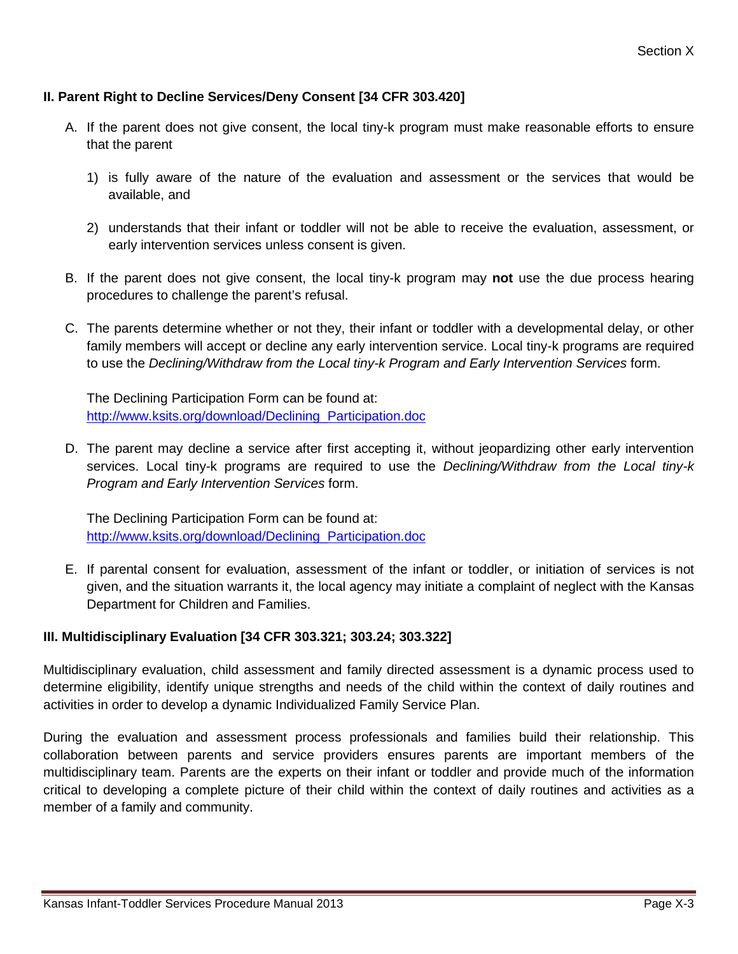# **II. Parent Right to Decline Services/Deny Consent [34 CFR 303.420]**

- A. If the parent does not give consent, the local tiny-k program must make reasonable efforts to ensure that the parent
	- 1) is fully aware of the nature of the evaluation and assessment or the services that would be available, and
	- 2) understands that their infant or toddler will not be able to receive the evaluation, assessment, or early intervention services unless consent is given.
- B. If the parent does not give consent, the local tiny-k program may **not** use the due process hearing procedures to challenge the parent's refusal.
- C. The parents determine whether or not they, their infant or toddler with a developmental delay, or other family members will accept or decline any early intervention service. Local tiny-k programs are required to use the *Declining/Withdraw from the Local tiny-k Program and Early Intervention Services* form.

The Declining Participation Form can be found at: [http://www.ksits.org/download/Declining\\_Participation.doc](http://www.ksits.org/download/Declining_Participation.doc)

D. The parent may decline a service after first accepting it, without jeopardizing other early intervention services. Local tiny-k programs are required to use the *Declining/Withdraw from the Local tiny-k Program and Early Intervention Services* form.

The Declining Participation Form can be found at: [http://www.ksits.org/download/Declining\\_Participation.doc](http://www.ksits.org/download/Declining_Participation.doc)

E. If parental consent for evaluation, assessment of the infant or toddler, or initiation of services is not given, and the situation warrants it, the local agency may initiate a complaint of neglect with the Kansas Department for Children and Families.

### **III. Multidisciplinary Evaluation [34 CFR 303.321; 303.24; 303.322]**

Multidisciplinary evaluation, child assessment and family directed assessment is a dynamic process used to determine eligibility, identify unique strengths and needs of the child within the context of daily routines and activities in order to develop a dynamic Individualized Family Service Plan.

During the evaluation and assessment process professionals and families build their relationship. This collaboration between parents and service providers ensures parents are important members of the multidisciplinary team. Parents are the experts on their infant or toddler and provide much of the information critical to developing a complete picture of their child within the context of daily routines and activities as a member of a family and community.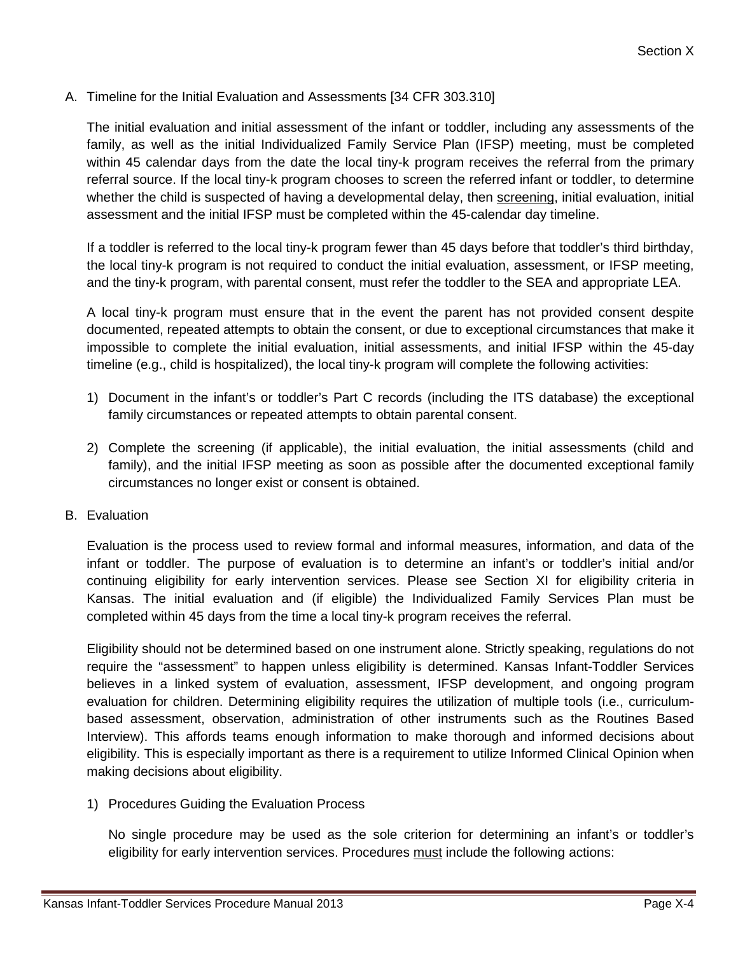A. Timeline for the Initial Evaluation and Assessments [34 CFR 303.310]

The initial evaluation and initial assessment of the infant or toddler, including any assessments of the family, as well as the initial Individualized Family Service Plan (IFSP) meeting, must be completed within 45 calendar days from the date the local tiny-k program receives the referral from the primary referral source. If the local tiny-k program chooses to screen the referred infant or toddler, to determine whether the child is suspected of having a developmental delay, then screening, initial evaluation, initial assessment and the initial IFSP must be completed within the 45-calendar day timeline.

If a toddler is referred to the local tiny-k program fewer than 45 days before that toddler's third birthday, the local tiny-k program is not required to conduct the initial evaluation, assessment, or IFSP meeting, and the tiny-k program, with parental consent, must refer the toddler to the SEA and appropriate LEA.

A local tiny-k program must ensure that in the event the parent has not provided consent despite documented, repeated attempts to obtain the consent, or due to exceptional circumstances that make it impossible to complete the initial evaluation, initial assessments, and initial IFSP within the 45-day timeline (e.g., child is hospitalized), the local tiny-k program will complete the following activities:

- 1) Document in the infant's or toddler's Part C records (including the ITS database) the exceptional family circumstances or repeated attempts to obtain parental consent.
- 2) Complete the screening (if applicable), the initial evaluation, the initial assessments (child and family), and the initial IFSP meeting as soon as possible after the documented exceptional family circumstances no longer exist or consent is obtained.
- B. Evaluation

Evaluation is the process used to review formal and informal measures, information, and data of the infant or toddler. The purpose of evaluation is to determine an infant's or toddler's initial and/or continuing eligibility for early intervention services. Please see Section XI for eligibility criteria in Kansas. The initial evaluation and (if eligible) the Individualized Family Services Plan must be completed within 45 days from the time a local tiny-k program receives the referral.

Eligibility should not be determined based on one instrument alone. Strictly speaking, regulations do not require the "assessment" to happen unless eligibility is determined. Kansas Infant-Toddler Services believes in a linked system of evaluation, assessment, IFSP development, and ongoing program evaluation for children. Determining eligibility requires the utilization of multiple tools (i.e., curriculumbased assessment, observation, administration of other instruments such as the Routines Based Interview). This affords teams enough information to make thorough and informed decisions about eligibility. This is especially important as there is a requirement to utilize Informed Clinical Opinion when making decisions about eligibility.

1) Procedures Guiding the Evaluation Process

No single procedure may be used as the sole criterion for determining an infant's or toddler's eligibility for early intervention services. Procedures must include the following actions: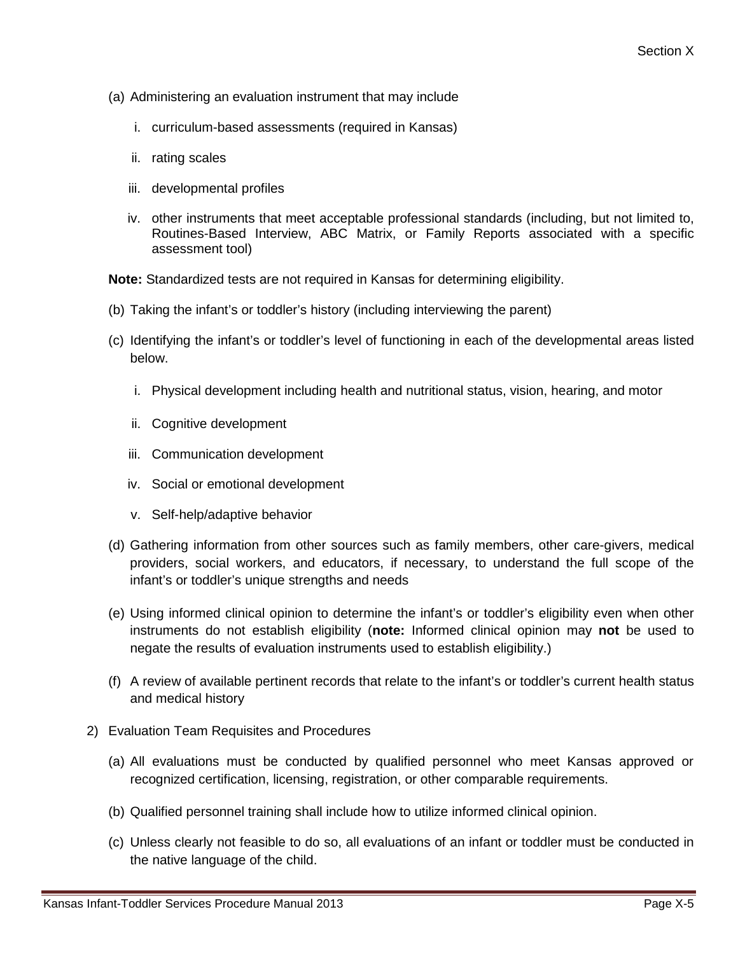- (a) Administering an evaluation instrument that may include
	- i. curriculum-based assessments (required in Kansas)
	- ii. rating scales
	- iii. developmental profiles
	- iv. other instruments that meet acceptable professional standards (including, but not limited to, Routines-Based Interview, ABC Matrix, or Family Reports associated with a specific assessment tool)

**Note:** Standardized tests are not required in Kansas for determining eligibility.

- (b) Taking the infant's or toddler's history (including interviewing the parent)
- (c) Identifying the infant's or toddler's level of functioning in each of the developmental areas listed below.
	- i. Physical development including health and nutritional status, vision, hearing, and motor
	- ii. Cognitive development
	- iii. Communication development
	- iv. Social or emotional development
	- v. Self-help/adaptive behavior
- (d) Gathering information from other sources such as family members, other care-givers, medical providers, social workers, and educators, if necessary, to understand the full scope of the infant's or toddler's unique strengths and needs
- (e) Using informed clinical opinion to determine the infant's or toddler's eligibility even when other instruments do not establish eligibility (**note:** Informed clinical opinion may **not** be used to negate the results of evaluation instruments used to establish eligibility.)
- (f) A review of available pertinent records that relate to the infant's or toddler's current health status and medical history
- 2) Evaluation Team Requisites and Procedures
	- (a) All evaluations must be conducted by qualified personnel who meet Kansas approved or recognized certification, licensing, registration, or other comparable requirements.
	- (b) Qualified personnel training shall include how to utilize informed clinical opinion.
	- (c) Unless clearly not feasible to do so, all evaluations of an infant or toddler must be conducted in the native language of the child.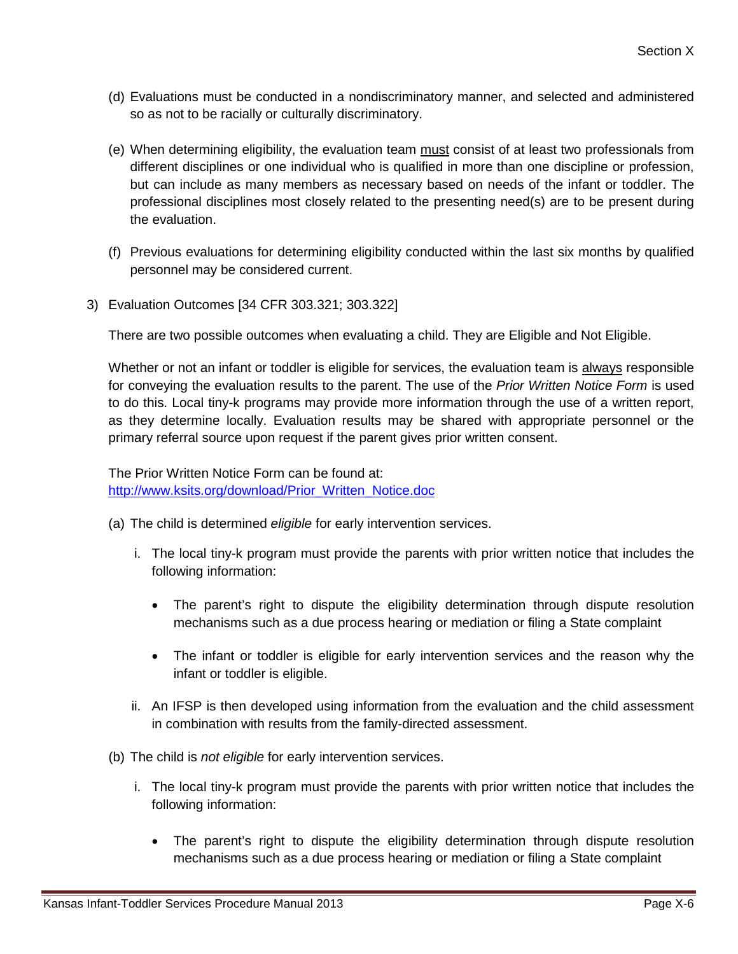- (d) Evaluations must be conducted in a nondiscriminatory manner, and selected and administered so as not to be racially or culturally discriminatory.
- (e) When determining eligibility, the evaluation team must consist of at least two professionals from different disciplines or one individual who is qualified in more than one discipline or profession, but can include as many members as necessary based on needs of the infant or toddler. The professional disciplines most closely related to the presenting need(s) are to be present during the evaluation.
- (f) Previous evaluations for determining eligibility conducted within the last six months by qualified personnel may be considered current.
- 3) Evaluation Outcomes [34 CFR 303.321; 303.322]

There are two possible outcomes when evaluating a child. They are Eligible and Not Eligible.

Whether or not an infant or toddler is eligible for services, the evaluation team is always responsible for conveying the evaluation results to the parent. The use of the *Prior Written Notice Form* is used to do this. Local tiny-k programs may provide more information through the use of a written report, as they determine locally. Evaluation results may be shared with appropriate personnel or the primary referral source upon request if the parent gives prior written consent.

The Prior Written Notice Form can be found at: [http://www.ksits.org/download/Prior\\_Written\\_Notice.doc](http://www.ksits.org/download/Prior_Written_Notice.doc)

- (a) The child is determined *eligible* for early intervention services.
	- i. The local tiny-k program must provide the parents with prior written notice that includes the following information:
		- The parent's right to dispute the eligibility determination through dispute resolution mechanisms such as a due process hearing or mediation or filing a State complaint
		- The infant or toddler is eligible for early intervention services and the reason why the infant or toddler is eligible.
	- ii. An IFSP is then developed using information from the evaluation and the child assessment in combination with results from the family-directed assessment.
- (b) The child is *not eligible* for early intervention services.
	- i. The local tiny-k program must provide the parents with prior written notice that includes the following information:
		- The parent's right to dispute the eligibility determination through dispute resolution mechanisms such as a due process hearing or mediation or filing a State complaint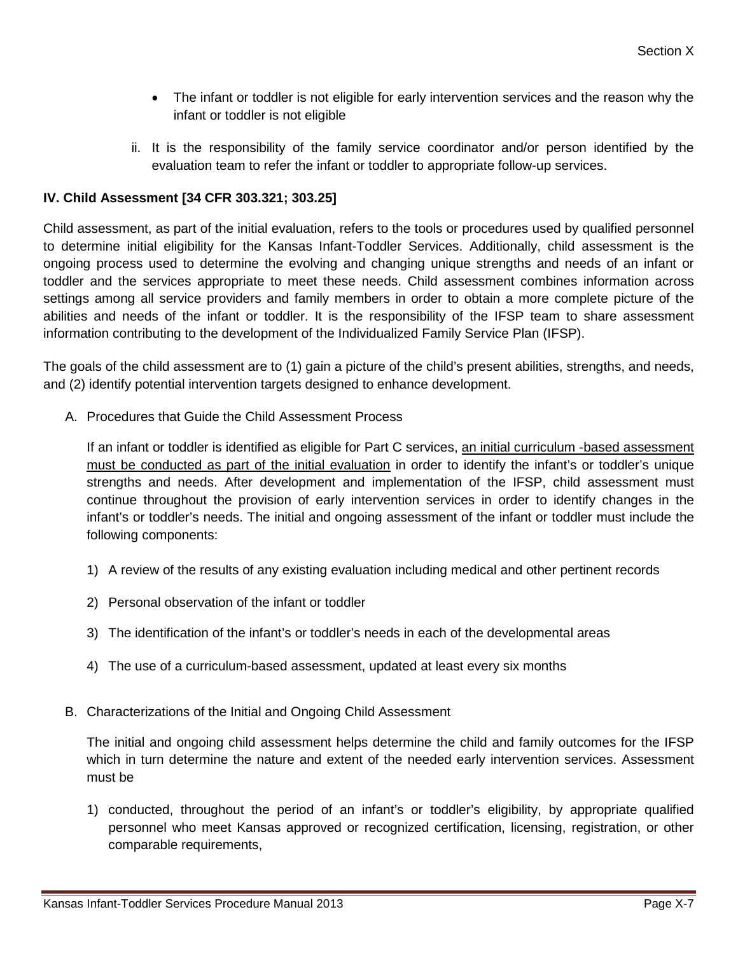- The infant or toddler is not eligible for early intervention services and the reason why the infant or toddler is not eligible
- ii. It is the responsibility of the family service coordinator and/or person identified by the evaluation team to refer the infant or toddler to appropriate follow-up services.

# **IV. Child Assessment [34 CFR 303.321; 303.25]**

Child assessment, as part of the initial evaluation, refers to the tools or procedures used by qualified personnel to determine initial eligibility for the Kansas Infant-Toddler Services. Additionally, child assessment is the ongoing process used to determine the evolving and changing unique strengths and needs of an infant or toddler and the services appropriate to meet these needs. Child assessment combines information across settings among all service providers and family members in order to obtain a more complete picture of the abilities and needs of the infant or toddler. It is the responsibility of the IFSP team to share assessment information contributing to the development of the Individualized Family Service Plan (IFSP).

The goals of the child assessment are to (1) gain a picture of the child's present abilities, strengths, and needs, and (2) identify potential intervention targets designed to enhance development.

A. Procedures that Guide the Child Assessment Process

If an infant or toddler is identified as eligible for Part C services, an initial curriculum -based assessment must be conducted as part of the initial evaluation in order to identify the infant's or toddler's unique strengths and needs. After development and implementation of the IFSP, child assessment must continue throughout the provision of early intervention services in order to identify changes in the infant's or toddler's needs. The initial and ongoing assessment of the infant or toddler must include the following components:

- 1) A review of the results of any existing evaluation including medical and other pertinent records
- 2) Personal observation of the infant or toddler
- 3) The identification of the infant's or toddler's needs in each of the developmental areas
- 4) The use of a curriculum-based assessment, updated at least every six months
- B. Characterizations of the Initial and Ongoing Child Assessment

The initial and ongoing child assessment helps determine the child and family outcomes for the IFSP which in turn determine the nature and extent of the needed early intervention services. Assessment must be

1) conducted, throughout the period of an infant's or toddler's eligibility, by appropriate qualified personnel who meet Kansas approved or recognized certification, licensing, registration, or other comparable requirements,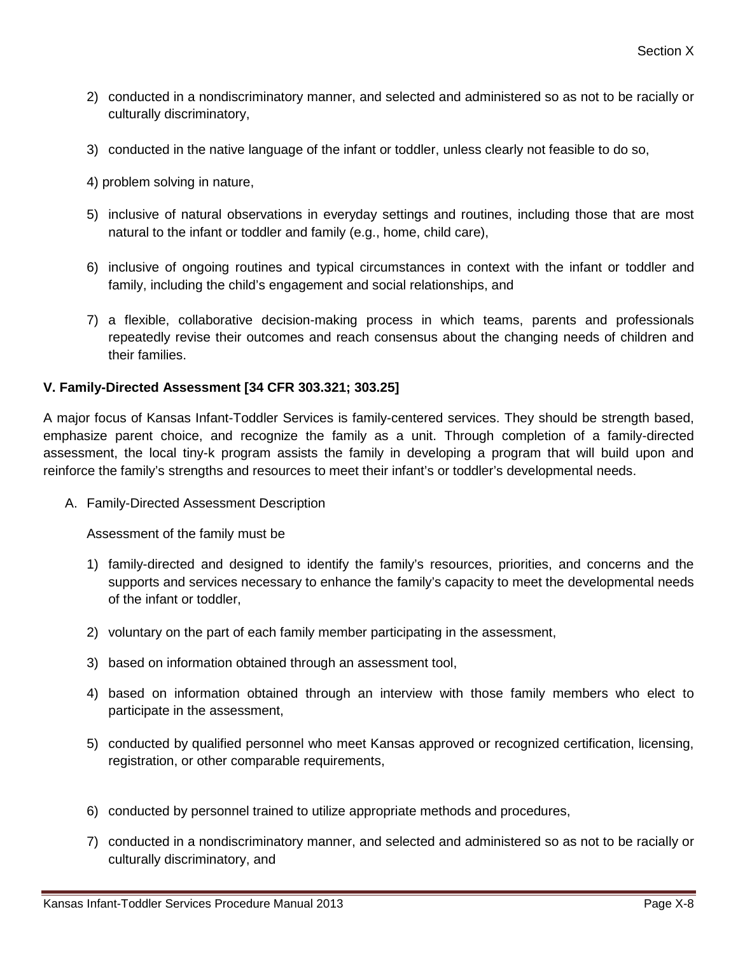- 2) conducted in a nondiscriminatory manner, and selected and administered so as not to be racially or culturally discriminatory,
- 3) conducted in the native language of the infant or toddler, unless clearly not feasible to do so,
- 4) problem solving in nature,
- 5) inclusive of natural observations in everyday settings and routines, including those that are most natural to the infant or toddler and family (e.g., home, child care),
- 6) inclusive of ongoing routines and typical circumstances in context with the infant or toddler and family, including the child's engagement and social relationships, and
- 7) a flexible, collaborative decision-making process in which teams, parents and professionals repeatedly revise their outcomes and reach consensus about the changing needs of children and their families.

### **V. Family-Directed Assessment [34 CFR 303.321; 303.25]**

A major focus of Kansas Infant-Toddler Services is family-centered services. They should be strength based, emphasize parent choice, and recognize the family as a unit. Through completion of a family-directed assessment, the local tiny-k program assists the family in developing a program that will build upon and reinforce the family's strengths and resources to meet their infant's or toddler's developmental needs.

A. Family-Directed Assessment Description

Assessment of the family must be

- 1) family-directed and designed to identify the family's resources, priorities, and concerns and the supports and services necessary to enhance the family's capacity to meet the developmental needs of the infant or toddler,
- 2) voluntary on the part of each family member participating in the assessment,
- 3) based on information obtained through an assessment tool,
- 4) based on information obtained through an interview with those family members who elect to participate in the assessment,
- 5) conducted by qualified personnel who meet Kansas approved or recognized certification, licensing, registration, or other comparable requirements,
- 6) conducted by personnel trained to utilize appropriate methods and procedures,
- 7) conducted in a nondiscriminatory manner, and selected and administered so as not to be racially or culturally discriminatory, and